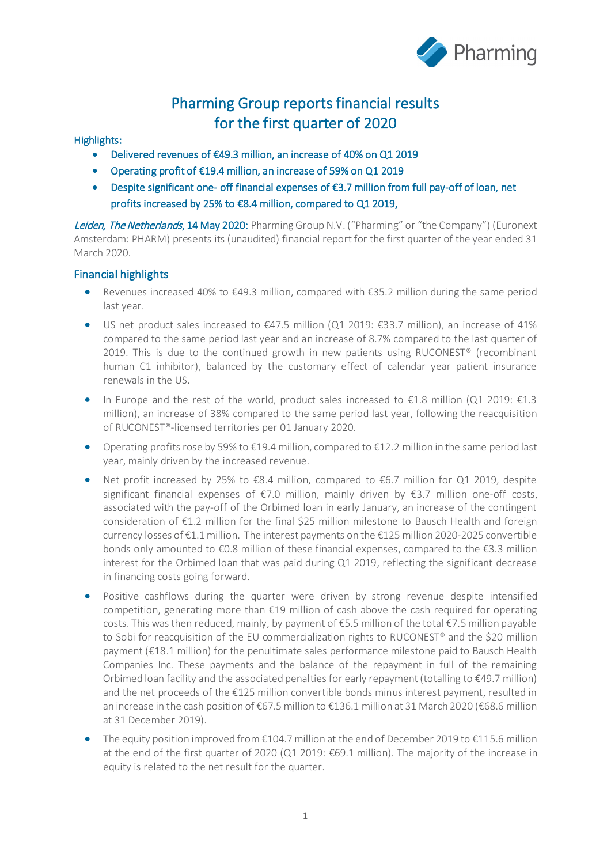

# Pharming Group reports financial results for the first quarter of 2020 Highlights:

- Delivered revenues of €49.3 million, an increase of 40% on Q1 2019
- Operating profit of €19.4 million, an increase of 59% on Q1 2019
- Despite significant one- off financial expenses of €3.7 million from full pay-off of loan, net profits increased by 25% to €8.4 million, compared to Q1 2019,

Leiden, The Netherlands, 14 May 2020: Pharming Group N.V. ("Pharming" or "the Company") (Euronext Amsterdam: PHARM) presents its (unaudited) financial report for the first quarter of the year ended 31 March 2020.

#### Financial highlights

- Revenues increased 40% to €49.3 million, compared with €35.2 million during the same period last year.
- US net product sales increased to  $\epsilon$ 47.5 million (Q1 2019:  $\epsilon$ 33.7 million), an increase of 41% compared to the same period last year and an increase of 8.7% compared to the last quarter of 2019. This is due to the continued growth in new patients using RUCONEST® (recombinant human C1 inhibitor), balanced by the customary effect of calendar year patient insurance renewals in the US.
- In Europe and the rest of the world, product sales increased to  $E1.8$  million (Q1 2019:  $E1.3$ ) million), an increase of 38% compared to the same period last year, following the reacquisition of RUCONEST®-licensed territories per 01 January 2020.
- Operating profits rose by 59% to  $\epsilon$ 19.4 million, compared to  $\epsilon$ 12.2 million in the same period last year, mainly driven by the increased revenue.
- Net profit increased by 25% to €8.4 million, compared to €6.7 million for Q1 2019, despite significant financial expenses of €7.0 million, mainly driven by €3.7 million one-off costs, associated with the pay-off of the Orbimed loan in early January, an increase of the contingent consideration of €1.2 million for the final \$25 million milestone to Bausch Health and foreign currency losses of €1.1 million. The interest payments on the €125 million 2020-2025 convertible bonds only amounted to  $\epsilon$ 0.8 million of these financial expenses, compared to the  $\epsilon$ 3.3 million interest for the Orbimed loan that was paid during Q1 2019, reflecting the significant decrease in financing costs going forward.
- Positive cashflows during the quarter were driven by strong revenue despite intensified competition, generating more than €19 million of cash above the cash required for operating costs. This was then reduced, mainly, by payment of €5.5 million of the total €7.5 million payable to Sobi for reacquisition of the EU commercialization rights to RUCONEST<sup>®</sup> and the \$20 million payment (€18.1 million) for the penultimate sales performance milestone paid to Bausch Health Companies Inc. These payments and the balance of the repayment in full of the remaining Orbimed loan facility and the associated penalties for early repayment (totalling to €49.7 million) and the net proceeds of the €125 million convertible bonds minus interest payment, resulted in an increase in the cash position of €67.5 million to €136.1 million at 31 March 2020 (€68.6 million at 31 December 2019).
- The equity position improved from €104.7 million at the end of December 2019 to €115.6 million at the end of the first quarter of 2020 (Q1 2019: €69.1 million). The majority of the increase in equity is related to the net result for the quarter.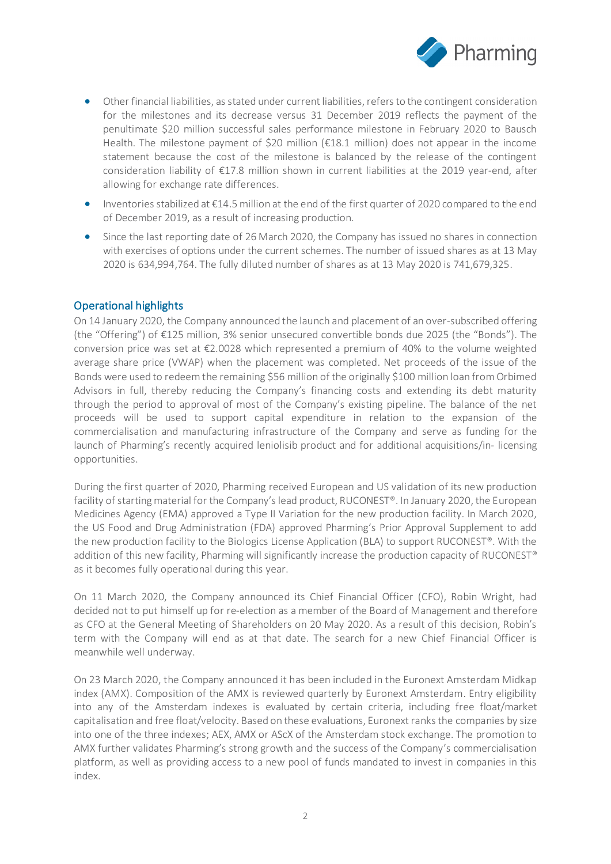

- Other financial liabilities, as stated under current liabilities, refers to the contingent consideration for the milestones and its decrease versus 31 December 2019 reflects the payment of the penultimate \$20 million successful sales performance milestone in February 2020 to Bausch Health. The milestone payment of \$20 million (€18.1 million) does not appear in the income statement because the cost of the milestone is balanced by the release of the contingent consideration liability of €17.8 million shown in current liabilities at the 2019 year-end, after allowing for exchange rate differences.
- Inventories stabilized at €14.5 million at the end of the first quarter of 2020 compared to the end of December 2019, as a result of increasing production.
- Since the last reporting date of 26 March 2020, the Company has issued no shares in connection with exercises of options under the current schemes. The number of issued shares as at 13 May 2020 is 634,994,764. The fully diluted number of shares as at 13 May 2020 is 741,679,325.

#### Operational highlights

On 14 January 2020, the Company announced the launch and placement of an over-subscribed offering (the "Offering") of €125 million, 3% senior unsecured convertible bonds due 2025 (the "Bonds"). The conversion price was set at €2.0028 which represented a premium of 40% to the volume weighted average share price (VWAP) when the placement was completed. Net proceeds of the issue of the Bonds were used to redeem the remaining \$56 million of the originally \$100 million loan from Orbimed Advisors in full, thereby reducing the Company's financing costs and extending its debt maturity through the period to approval of most of the Company's existing pipeline. The balance of the net proceeds will be used to support capital expenditure in relation to the expansion of the commercialisation and manufacturing infrastructure of the Company and serve as funding for the launch of Pharming's recently acquired leniolisib product and for additional acquisitions/in- licensing opportunities.

During the first quarter of 2020, Pharming received European and US validation of its new production facility of starting material for the Company's lead product, RUCONEST®. In January 2020, the European Medicines Agency (EMA) approved a Type II Variation for the new production facility. In March 2020, the US Food and Drug Administration (FDA) approved Pharming's Prior Approval Supplement to add the new production facility to the Biologics License Application (BLA) to support RUCONEST®. With the addition of this new facility, Pharming will significantly increase the production capacity of RUCONEST® as it becomes fully operational during this year.

On 11 March 2020, the Company announced its Chief Financial Officer (CFO), Robin Wright, had decided not to put himself up for re-election as a member of the Board of Management and therefore as CFO at the General Meeting of Shareholders on 20 May 2020. As a result of this decision, Robin's term with the Company will end as at that date. The search for a new Chief Financial Officer is meanwhile well underway.

On 23 March 2020, the Company announced it has been included in the Euronext Amsterdam Midkap index (AMX). Composition of the AMX is reviewed quarterly by Euronext Amsterdam. Entry eligibility into any of the Amsterdam indexes is evaluated by certain criteria, including free float/market capitalisation and free float/velocity. Based on these evaluations, Euronext ranks the companies by size into one of the three indexes; AEX, AMX or AScX of the Amsterdam stock exchange. The promotion to AMX further validates Pharming's strong growth and the success of the Company's commercialisation platform, as well as providing access to a new pool of funds mandated to invest in companies in this index.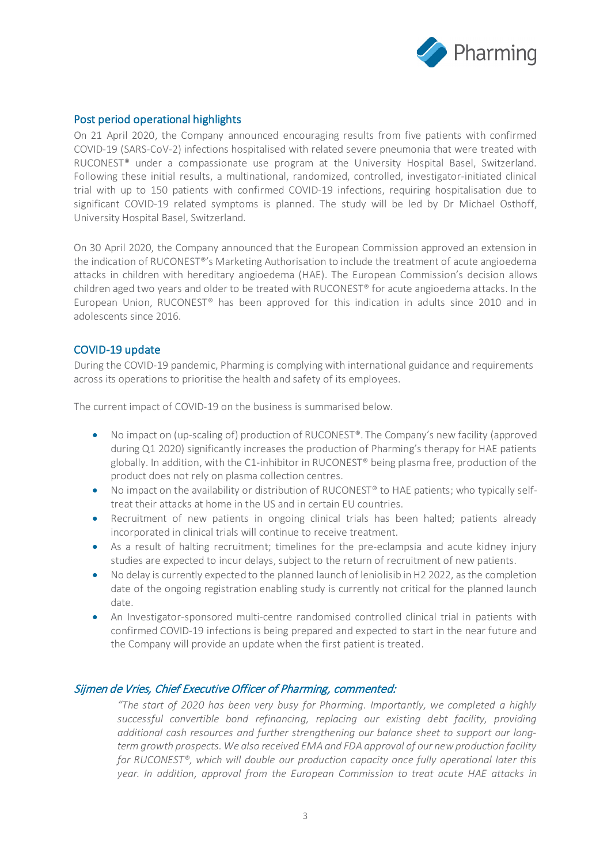

#### Post period operational highlights

On 21 April 2020, the Company announced encouraging results from five patients with confirmed COVID-19 (SARS-CoV-2) infections hospitalised with related severe pneumonia that were treated with RUCONEST® under a compassionate use program at the University Hospital Basel, Switzerland. Following these initial results, a multinational, randomized, controlled, investigator-initiated clinical trial with up to 150 patients with confirmed COVID-19 infections, requiring hospitalisation due to significant COVID-19 related symptoms is planned. The study will be led by Dr Michael Osthoff, University Hospital Basel, Switzerland.

On 30 April 2020, the Company announced that the European Commission approved an extension in the indication of RUCONEST®'s Marketing Authorisation to include the treatment of acute angioedema attacks in children with hereditary angioedema (HAE). The European Commission's decision allows children aged two years and older to be treated with RUCONEST® for acute angioedema attacks. In the European Union, RUCONEST® has been approved for this indication in adults since 2010 and in adolescents since 2016.

#### COVID-19 update

During the COVID-19 pandemic, Pharming is complying with international guidance and requirements across its operations to prioritise the health and safety of its employees.

The current impact of COVID-19 on the business is summarised below.

- No impact on (up-scaling of) production of RUCONEST®. The Company's new facility (approved during Q1 2020) significantly increases the production of Pharming's therapy for HAE patients globally. In addition, with the C1-inhibitor in RUCONEST® being plasma free, production of the product does not rely on plasma collection centres.
- No impact on the availability or distribution of RUCONEST<sup>®</sup> to HAE patients; who typically selftreat their attacks at home in the US and in certain EU countries.
- Recruitment of new patients in ongoing clinical trials has been halted; patients already incorporated in clinical trials will continue to receive treatment.
- As a result of halting recruitment; timelines for the pre-eclampsia and acute kidney injury studies are expected to incur delays, subject to the return of recruitment of new patients.
- No delay is currently expected to the planned launch of leniolisib in H2 2022, as the completion date of the ongoing registration enabling study is currently not critical for the planned launch date.
- An Investigator-sponsored multi-centre randomised controlled clinical trial in patients with confirmed COVID-19 infections is being prepared and expected to start in the near future and the Company will provide an update when the first patient is treated.

#### Sijmen de Vries, Chief Executive Officer of Pharming, commented:

*"The start of 2020 has been very busy for Pharming. Importantly, we completed a highly successful convertible bond refinancing, replacing our existing debt facility, providing additional cash resources and further strengthening our balance sheet to support our longterm growth prospects. We also received EMA and FDA approval of our new production facility for RUCONEST®, which will double our production capacity once fully operational later this year. In addition, approval from the European Commission to treat acute HAE attacks in*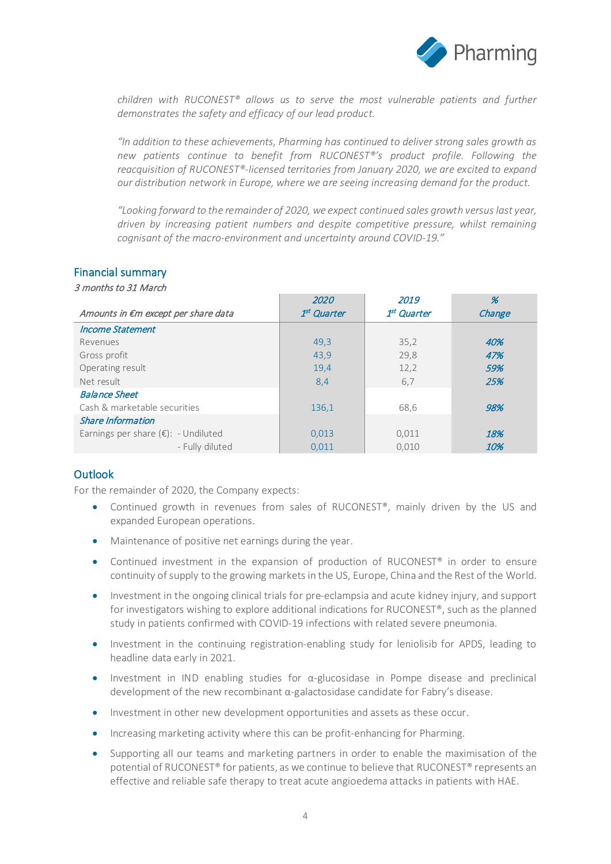

*children with RUCONEST® allows us to serve the most vulnerable patients and further demonstrates the safety and efficacy of our lead product.*

*"In addition to these achievements, Pharming has continued to deliver strong sales growth as new patients continue to benefit from RUCONEST®'s product profile. Following the reacquisition of RUCONEST®-licensed territories from January 2020, we are excited to expand our distribution network in Europe, where we are seeing increasing demand for the product.*

*"Looking forward to the remainder of 2020, we expect continued sales growth versus last year, driven by increasing patient numbers and despite competitive pressure, whilst remaining cognisant of the macro-environment and uncertainty around COVID-19."*

#### Financial summary

3 months to 31 March

|                                               | 2020                    | 2019                    | %      |
|-----------------------------------------------|-------------------------|-------------------------|--------|
| Amounts in €m except per share data           | 1 <sup>st</sup> Quarter | 1 <sup>st</sup> Quarter | Change |
| <b>Income Statement</b>                       |                         |                         |        |
| Revenues                                      | 49,3                    | 35,2                    | 40%    |
| Gross profit                                  | 43,9                    | 29,8                    | 47%    |
| Operating result                              | 19,4                    | 12,2                    | 59%    |
| Net result                                    | 8,4                     | 6,7                     | 25%    |
| <b>Balance Sheet</b>                          |                         |                         |        |
| Cash & marketable securities                  | 136,1                   | 68,6                    | 98%    |
| <b>Share Information</b>                      |                         |                         |        |
| Earnings per share $(\epsilon)$ : - Undiluted | 0,013                   | 0,011                   | 18%    |
| - Fully diluted                               | 0,011                   | 0.010                   | 10%    |

#### Outlook

For the remainder of 2020, the Company expects:

- Continued growth in revenues from sales of RUCONEST®, mainly driven by the US and expanded European operations.
- Maintenance of positive net earnings during the year.
- Continued investment in the expansion of production of RUCONEST<sup>®</sup> in order to ensure continuity of supply to the growing markets in the US, Europe, China and the Rest of the World.
- Investment in the ongoing clinical trials for pre-eclampsia and acute kidney injury, and support for investigators wishing to explore additional indications for RUCONEST®, such as the planned study in patients confirmed with COVID-19 infections with related severe pneumonia.
- Investment in the continuing registration-enabling study for leniolisib for APDS, leading to headline data early in 2021.
- Investment in IND enabling studies for  $\alpha$ -glucosidase in Pompe disease and preclinical development of the new recombinant α-galactosidase candidate for Fabry's disease.
- Investment in other new development opportunities and assets as these occur.
- Increasing marketing activity where this can be profit-enhancing for Pharming.
- Supporting all our teams and marketing partners in order to enable the maximisation of the potential of RUCONEST<sup>®</sup> for patients, as we continue to believe that RUCONEST<sup>®</sup> represents an effective and reliable safe therapy to treat acute angioedema attacks in patients with HAE.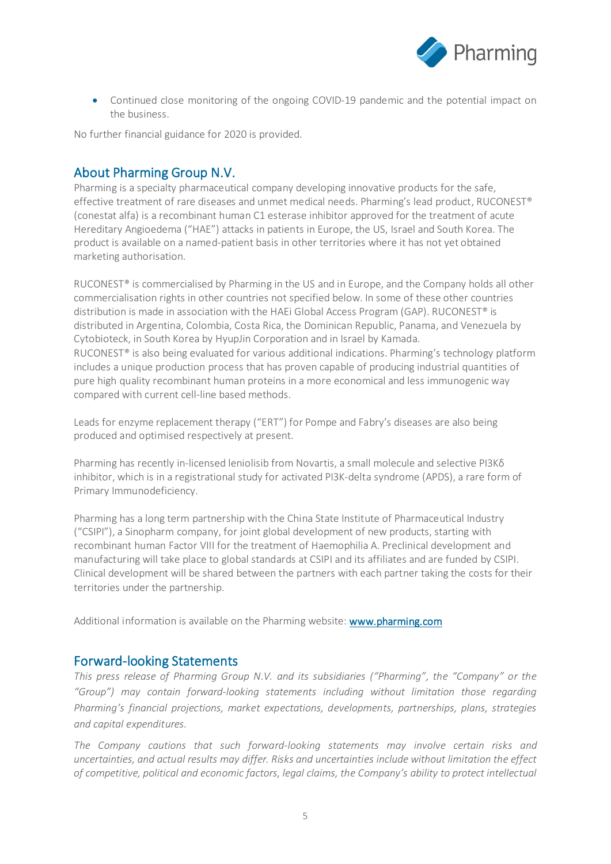

• Continued close monitoring of the ongoing COVID-19 pandemic and the potential impact on the business.

No further financial guidance for 2020 is provided.

# About Pharming Group N.V.

Pharming is a specialty pharmaceutical company developing innovative products for the safe, effective treatment of rare diseases and unmet medical needs. Pharming's lead product, RUCONEST® (conestat alfa) is a recombinant human C1 esterase inhibitor approved for the treatment of acute Hereditary Angioedema ("HAE") attacks in patients in Europe, the US, Israel and South Korea. The product is available on a named-patient basis in other territories where it has not yet obtained marketing authorisation.

RUCONEST<sup>®</sup> is commercialised by Pharming in the US and in Europe, and the Company holds all other commercialisation rights in other countries not specified below. In some of these other countries distribution is made in association with the HAEi Global Access Program (GAP). RUCONEST® is distributed in Argentina, Colombia, Costa Rica, the Dominican Republic, Panama, and Venezuela by Cytobioteck, in South Korea by HyupJin Corporation and in Israel by Kamada. RUCONEST® is also being evaluated for various additional indications. Pharming's technology platform includes a unique production process that has proven capable of producing industrial quantities of pure high quality recombinant human proteins in a more economical and less immunogenic way compared with current cell-line based methods.

Leads for enzyme replacement therapy ("ERT") for Pompe and Fabry's diseases are also being produced and optimised respectively at present.

Pharming has recently in-licensed leniolisib from Novartis, a small molecule and selective PI3Kδ inhibitor, which is in a registrational study for activated PI3K-delta syndrome (APDS), a rare form of Primary Immunodeficiency.

Pharming has a long term partnership with the China State Institute of Pharmaceutical Industry ("CSIPI"), a Sinopharm company, for joint global development of new products, starting with recombinant human Factor VIII for the treatment of Haemophilia A. Preclinical development and manufacturing will take place to global standards at CSIPI and its affiliates and are funded by CSIPI. Clinical development will be shared between the partners with each partner taking the costs for their territories under the partnership.

Additional information is available on the Pharming website: www.pharming.com

#### Forward-looking Statements

*This press release of Pharming Group N.V. and its subsidiaries ("Pharming", the "Company" or the "Group") may contain forward-looking statements including without limitation those regarding Pharming's financial projections, market expectations, developments, partnerships, plans, strategies and capital expenditures.*

*The Company cautions that such forward-looking statements may involve certain risks and uncertainties, and actual results may differ. Risks and uncertainties include without limitation the effect of competitive, political and economic factors, legal claims, the Company's ability to protect intellectual*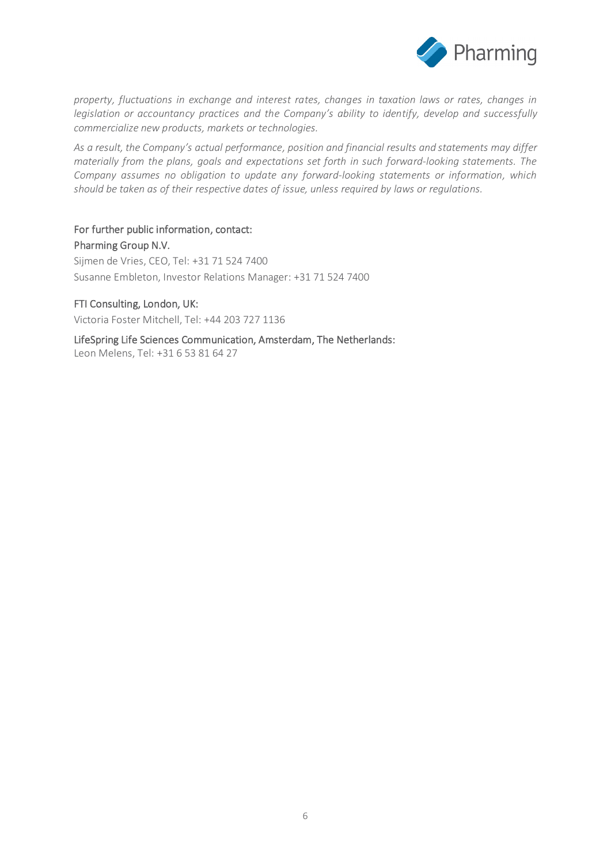

*property, fluctuations in exchange and interest rates, changes in taxation laws or rates, changes in legislation or accountancy practices and the Company's ability to identify, develop and successfully commercialize new products, markets or technologies.*

*As a result, the Company's actual performance, position and financial results and statements may differ materially from the plans, goals and expectations set forth in such forward-looking statements. The Company assumes no obligation to update any forward-looking statements or information, which should be taken as of their respective dates of issue, unless required by laws or regulations.*

For further public information, contact: Pharming Group N.V. Sijmen de Vries, CEO, Tel: +31 71 524 7400 Susanne Embleton, Investor Relations Manager: +31 71 524 7400

#### FTI Consulting, London, UK:

Victoria Foster Mitchell, Tel: +44 203 727 1136

LifeSpring Life Sciences Communication, Amsterdam, The Netherlands: Leon Melens, Tel: +31 6 53 81 64 27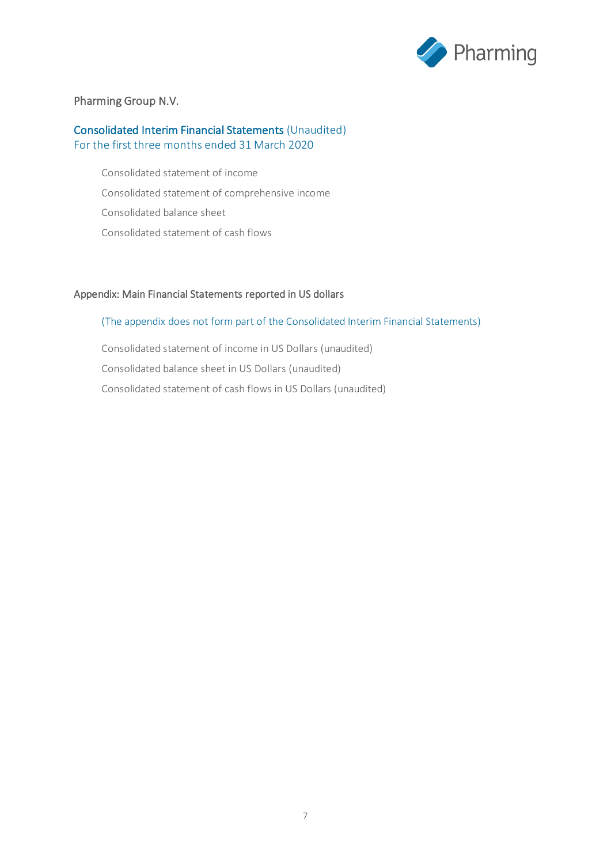

#### Pharming Group N.V.

#### Consolidated Interim Financial Statements (Unaudited) For the first three months ended 31 March 2020

Consolidated statement of income Consolidated statement of comprehensive income Consolidated balance sheet Consolidated statement of cash flows

#### Appendix: Main Financial Statements reported in US dollars

#### (The appendix does not form part of the Consolidated Interim Financial Statements)

Consolidated statement of income in US Dollars (unaudited) Consolidated balance sheet in US Dollars (unaudited) Consolidated statement of cash flows in US Dollars (unaudited)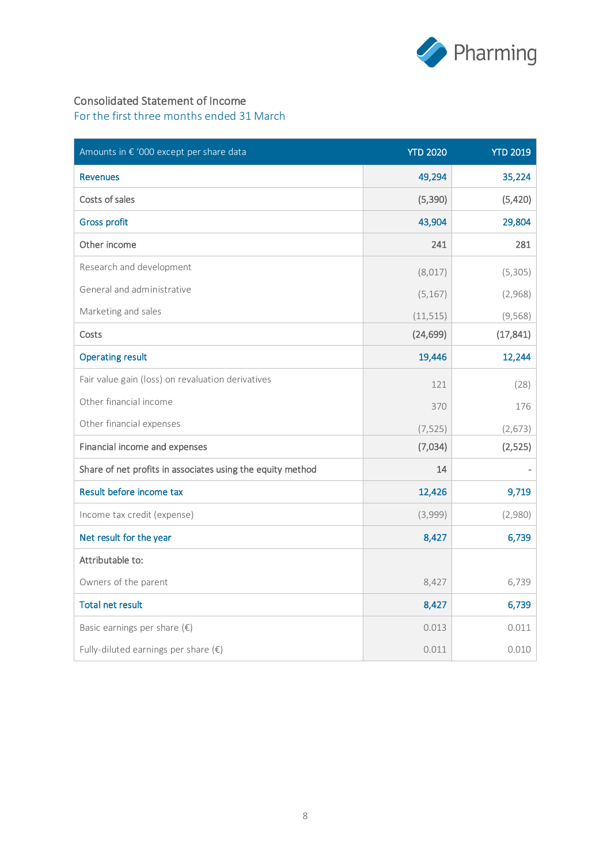

## Consolidated Statement of Income

| Amounts in € '000 except per share data                    | <b>YTD 2020</b> | <b>YTD 2019</b> |
|------------------------------------------------------------|-----------------|-----------------|
| <b>Revenues</b>                                            | 49,294          | 35,224          |
| Costs of sales                                             | (5, 390)        | (5,420)         |
| <b>Gross profit</b>                                        | 43,904          | 29,804          |
| Other income                                               | 241             | 281             |
| Research and development                                   | (8,017)         | (5, 305)        |
| General and administrative                                 | (5, 167)        | (2,968)         |
| Marketing and sales                                        | (11, 515)       | (9, 568)        |
| Costs                                                      | (24, 699)       | (17, 841)       |
| <b>Operating result</b>                                    | 19,446          | 12,244          |
| Fair value gain (loss) on revaluation derivatives          | 121             | (28)            |
| Other financial income                                     | 370             | 176             |
| Other financial expenses                                   | (7, 525)        | (2, 673)        |
| Financial income and expenses                              | (7,034)         | (2,525)         |
| Share of net profits in associates using the equity method | 14              |                 |
| Result before income tax                                   | 12,426          | 9,719           |
| Income tax credit (expense)                                | (3,999)         | (2,980)         |
| Net result for the year                                    | 8,427           | 6,739           |
| Attributable to:                                           |                 |                 |
| Owners of the parent                                       | 8,427           | 6,739           |
| <b>Total net result</b>                                    | 8,427           | 6,739           |
| Basic earnings per share $(\epsilon)$                      | 0.013           | 0.011           |
| Fully-diluted earnings per share $(\epsilon)$              | 0.011           | 0.010           |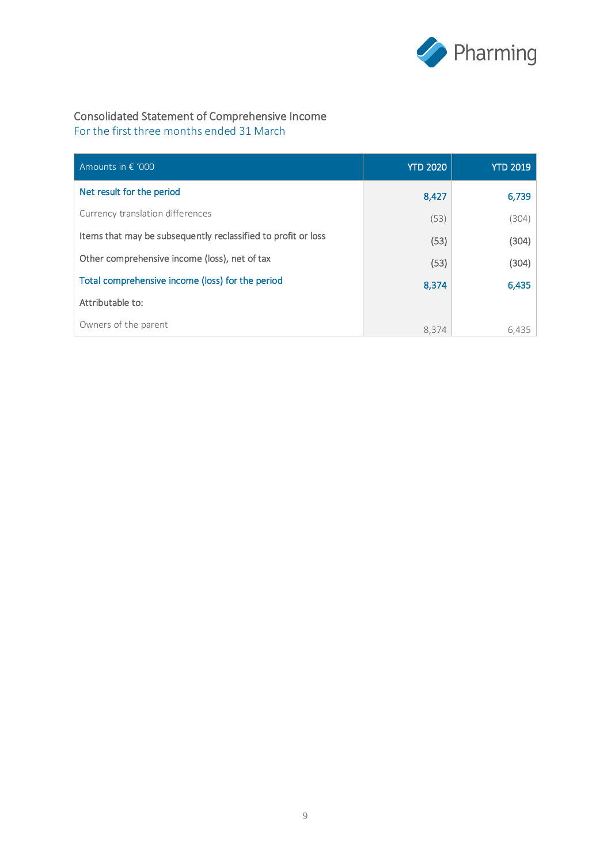

# Consolidated Statement of Comprehensive Income

| Amounts in $\epsilon$ '000                                    | <b>YTD 2020</b> | <b>YTD 2019</b> |
|---------------------------------------------------------------|-----------------|-----------------|
| Net result for the period                                     | 8,427           | 6,739           |
| Currency translation differences                              | (53)            | (304)           |
| Items that may be subsequently reclassified to profit or loss | (53)            | (304)           |
| Other comprehensive income (loss), net of tax                 | (53)            | (304)           |
| Total comprehensive income (loss) for the period              | 8,374           | 6,435           |
| Attributable to:                                              |                 |                 |
| Owners of the parent                                          | 8.374           | 6,435           |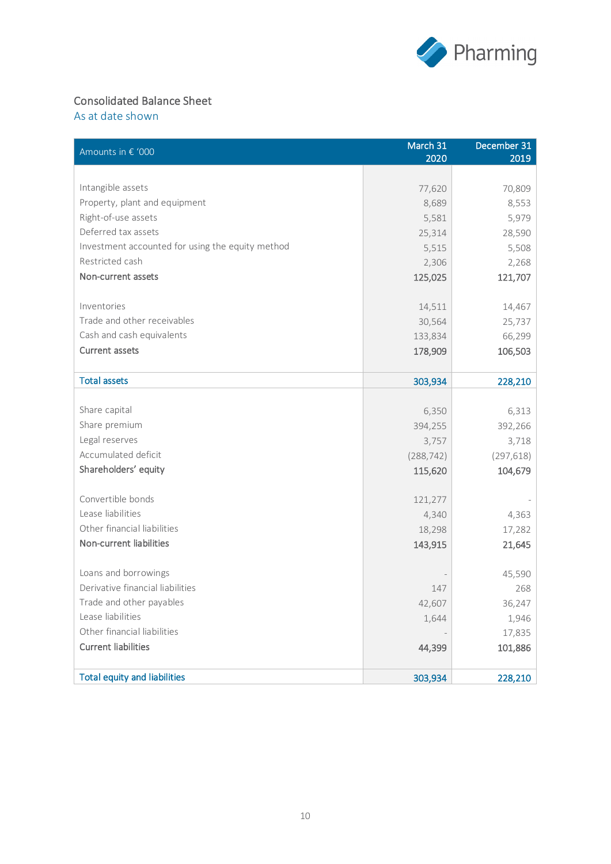

# Consolidated Balance Sheet

As at date shown

| Amounts in € '000                                      | March 31<br>2020 | December 31<br>2019 |
|--------------------------------------------------------|------------------|---------------------|
|                                                        |                  |                     |
| Intangible assets                                      | 77,620           | 70,809              |
| Property, plant and equipment                          | 8,689            | 8,553               |
| Right-of-use assets                                    | 5,581            | 5,979               |
| Deferred tax assets                                    | 25,314           | 28,590              |
| Investment accounted for using the equity method       | 5,515            | 5,508               |
| Restricted cash                                        | 2,306            | 2,268               |
| Non-current assets                                     | 125,025          | 121,707             |
| Inventories                                            | 14,511           | 14,467              |
| Trade and other receivables                            | 30,564           | 25,737              |
| Cash and cash equivalents                              | 133,834          | 66,299              |
| <b>Current assets</b>                                  | 178,909          | 106,503             |
|                                                        |                  |                     |
| <b>Total assets</b>                                    | 303,934          | 228,210             |
|                                                        |                  |                     |
| Share capital                                          | 6,350            | 6,313               |
| Share premium                                          | 394,255          | 392,266             |
| Legal reserves                                         | 3,757            | 3,718               |
| Accumulated deficit                                    | (288, 742)       | (297, 618)          |
| Shareholders' equity                                   | 115,620          | 104,679             |
|                                                        |                  |                     |
| Convertible bonds                                      | 121,277          |                     |
| Lease liabilities                                      | 4,340            | 4,363               |
| Other financial liabilities<br>Non-current liabilities | 18,298           | 17,282              |
|                                                        | 143,915          | 21,645              |
| Loans and borrowings                                   |                  | 45,590              |
| Derivative financial liabilities                       | 147              | 268                 |
| Trade and other payables                               | 42,607           | 36,247              |
| Lease liabilities                                      | 1,644            | 1,946               |
| Other financial liabilities                            |                  | 17,835              |
| <b>Current liabilities</b>                             | 44,399           | 101,886             |
|                                                        |                  |                     |
| <b>Total equity and liabilities</b>                    | 303,934          | 228,210             |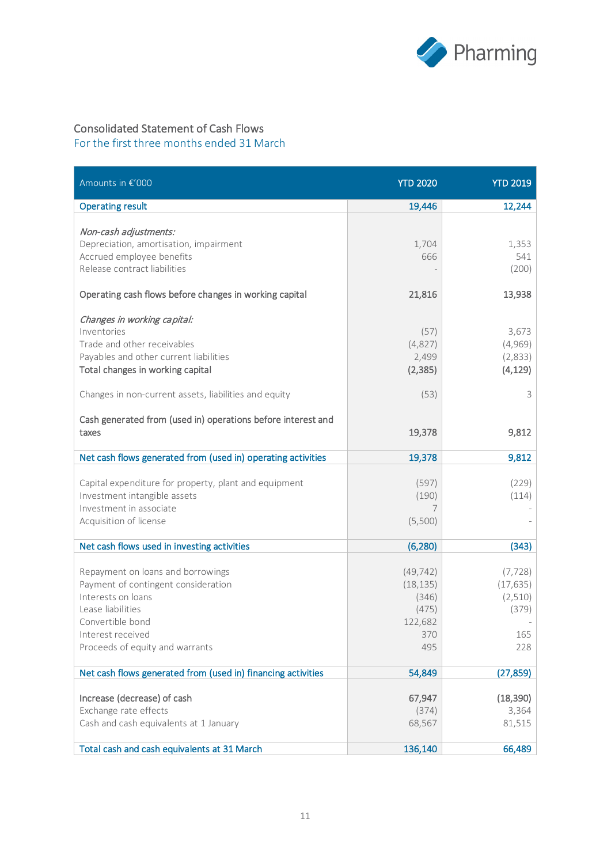

# Consolidated Statement of Cash Flows

| Amounts in €'000                                                                                                                                                                                                 | <b>YTD 2020</b>                                                   | <b>YTD 2019</b>                                         |
|------------------------------------------------------------------------------------------------------------------------------------------------------------------------------------------------------------------|-------------------------------------------------------------------|---------------------------------------------------------|
| <b>Operating result</b>                                                                                                                                                                                          | 19,446                                                            | 12,244                                                  |
| Non-cash adjustments:<br>Depreciation, amortisation, impairment<br>Accrued employee benefits<br>Release contract liabilities                                                                                     | 1,704<br>666                                                      | 1,353<br>541<br>(200)                                   |
| Operating cash flows before changes in working capital                                                                                                                                                           | 21,816                                                            | 13,938                                                  |
| Changes in working capital:<br>Inventories<br>Trade and other receivables<br>Payables and other current liabilities<br>Total changes in working capital<br>Changes in non-current assets, liabilities and equity | (57)<br>(4,827)<br>2,499<br>(2, 385)<br>(53)                      | 3,673<br>(4,969)<br>(2,833)<br>(4, 129)<br>3            |
| Cash generated from (used in) operations before interest and<br>taxes                                                                                                                                            | 19,378                                                            | 9,812                                                   |
| Net cash flows generated from (used in) operating activities                                                                                                                                                     | 19,378                                                            | 9,812                                                   |
| Capital expenditure for property, plant and equipment<br>Investment intangible assets<br>Investment in associate<br>Acquisition of license                                                                       | (597)<br>(190)<br>7<br>(5,500)                                    | (229)<br>(114)                                          |
| Net cash flows used in investing activities                                                                                                                                                                      | (6, 280)                                                          | (343)                                                   |
| Repayment on loans and borrowings<br>Payment of contingent consideration<br>Interests on loans<br>Lease liabilities<br>Convertible bond<br>Interest received<br>Proceeds of equity and warrants                  | (49, 742)<br>(18, 135)<br>(346)<br>(475)<br>122,682<br>370<br>495 | (7, 728)<br>(17, 635)<br>(2,510)<br>(379)<br>165<br>228 |
| Net cash flows generated from (used in) financing activities                                                                                                                                                     | 54,849                                                            | (27, 859)                                               |
| Increase (decrease) of cash<br>Exchange rate effects<br>Cash and cash equivalents at 1 January<br>Total cash and cash equivalents at 31 March                                                                    | 67,947<br>(374)<br>68,567<br>136,140                              | (18, 390)<br>3,364<br>81,515<br>66,489                  |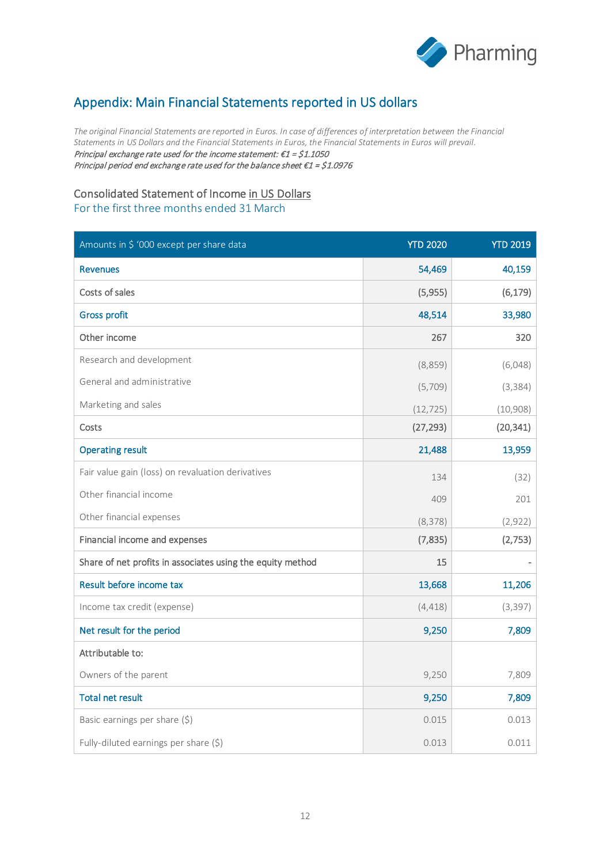

# Appendix: Main Financial Statements reported in US dollars

*The original Financial Statements are reported in Euros. In case of differences of interpretation between the Financial Statements in US Dollars and the Financial Statements in Euros, the Financial Statements in Euros will prevail.* Principal exchange rate used for the income statement:  $\epsilon$ 1 = \$1.1050 Principal period end exchange rate used for the balance sheet €1 = \$1.0976

### Consolidated Statement of Income in US Dollars

| Amounts in \$ '000 except per share data                   | <b>YTD 2020</b> | <b>YTD 2019</b> |
|------------------------------------------------------------|-----------------|-----------------|
| <b>Revenues</b>                                            | 54,469          | 40,159          |
| Costs of sales                                             | (5,955)         | (6, 179)        |
| <b>Gross profit</b>                                        | 48,514          | 33,980          |
| Other income                                               | 267             | 320             |
| Research and development                                   | (8,859)         | (6,048)         |
| General and administrative                                 | (5,709)         | (3, 384)        |
| Marketing and sales                                        | (12, 725)       | (10,908)        |
| Costs                                                      | (27, 293)       | (20, 341)       |
| <b>Operating result</b>                                    | 21,488          | 13,959          |
| Fair value gain (loss) on revaluation derivatives          | 134             | (32)            |
| Other financial income                                     | 409             | 201             |
| Other financial expenses                                   | (8, 378)        | (2,922)         |
| Financial income and expenses                              | (7,835)         | (2,753)         |
| Share of net profits in associates using the equity method | 15              |                 |
| Result before income tax                                   | 13,668          | 11,206          |
| Income tax credit (expense)                                | (4, 418)        | (3, 397)        |
| Net result for the period                                  | 9,250           | 7,809           |
| Attributable to:                                           |                 |                 |
| Owners of the parent                                       | 9,250           | 7,809           |
| <b>Total net result</b>                                    | 9,250           | 7,809           |
| Basic earnings per share (\$)                              | 0.015           | 0.013           |
| Fully-diluted earnings per share (\$)                      | 0.013           | 0.011           |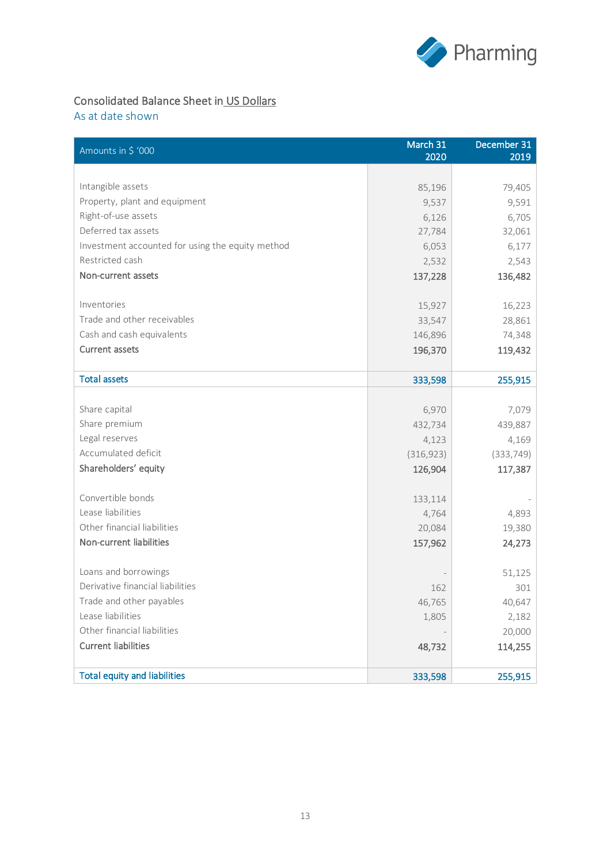

# Consolidated Balance Sheet in US Dollars

As at date shown

| Amounts in \$ '000                               | March 31<br>2020 | December 31<br>2019 |
|--------------------------------------------------|------------------|---------------------|
|                                                  |                  |                     |
| Intangible assets                                | 85,196           | 79,405              |
| Property, plant and equipment                    | 9,537            | 9,591               |
| Right-of-use assets                              | 6,126            | 6,705               |
| Deferred tax assets                              | 27,784           | 32,061              |
| Investment accounted for using the equity method | 6,053            | 6,177               |
| Restricted cash                                  | 2,532            | 2,543               |
| Non-current assets                               | 137,228          | 136,482             |
| Inventories                                      | 15,927           | 16,223              |
| Trade and other receivables                      | 33,547           | 28,861              |
| Cash and cash equivalents                        | 146,896          | 74,348              |
| <b>Current assets</b>                            | 196,370          | 119,432             |
|                                                  |                  |                     |
| <b>Total assets</b>                              | 333,598          | 255,915             |
|                                                  |                  |                     |
| Share capital                                    | 6,970            | 7,079               |
| Share premium                                    | 432,734          | 439,887             |
| Legal reserves                                   | 4,123            | 4,169               |
| Accumulated deficit                              | (316, 923)       | (333, 749)          |
| Shareholders' equity                             | 126,904          | 117,387             |
| Convertible bonds                                | 133,114          |                     |
| Lease liabilities                                | 4,764            | 4,893               |
| Other financial liabilities                      | 20,084           | 19,380              |
| Non-current liabilities                          | 157,962          | 24,273              |
| Loans and borrowings                             |                  | 51,125              |
| Derivative financial liabilities                 | 162              | 301                 |
| Trade and other payables                         | 46,765           | 40,647              |
| Lease liabilities                                | 1,805            | 2,182               |
| Other financial liabilities                      |                  | 20,000              |
| <b>Current liabilities</b>                       | 48,732           | 114,255             |
| <b>Total equity and liabilities</b>              |                  |                     |
|                                                  | 333,598          | 255,915             |